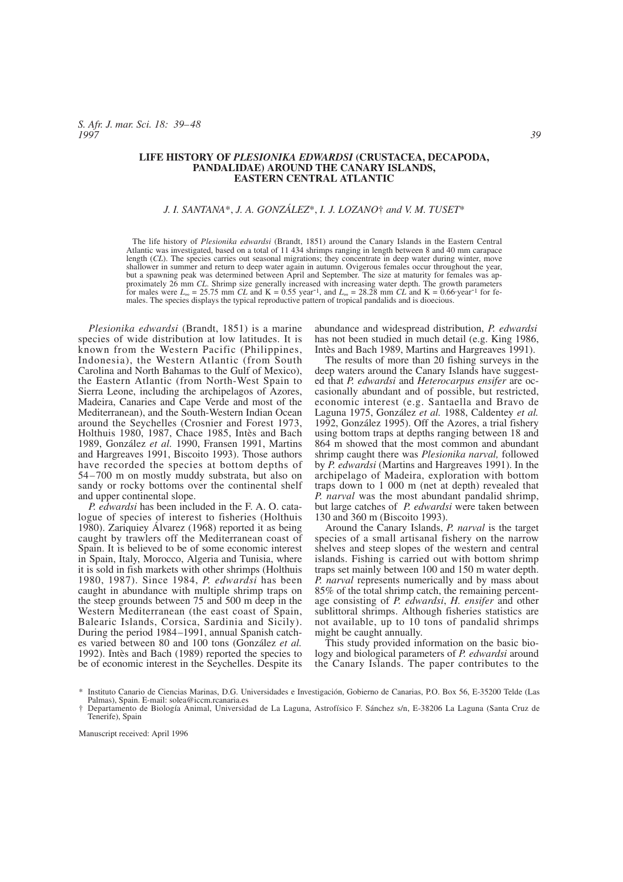*S. Afr. J. mar. Sci. 18: 39–48 1997 39*

#### **LIFE HISTORY OF** *PLESIONIKA EDWARDSI* **(CRUSTACEA, DECAPODA, PANDALIDAE) AROUND THE CANARY ISLANDS, EASTERN CENTRAL ATLANTIC**

### *J. I. SANTANA*\*, *J. A. GONZÁLEZ*\*, *I. J. LOZANO*† *and V. M. TUSET*\*

The life history of *Plesionika edwardsi* (Brandt, 1851) around the Canary Islands in the Eastern Central Atlantic was investigated, based on a total of 11 434 shrimps ranging in length between 8 and 40 mm carapace length (*CL*). The species carries out seasonal migrations; they concentrate in deep water during winter, move shallower in summer and return to deep water again in autumn. Ovigerous females occur throughout the year, but a spawning peak was determined between April and September. The size at maturity for females was approximately 26 mm *CL*. Shrimp size generally increased with increasing water depth. The growth parameters for males were  $L_{\infty} = 25.75$  mm *CL* and K = 0.55 year<sup>-1</sup>, and  $L_{\infty} = 28.28$  mm *CL* and K = 0.66 year<sup>-1</sup> fo males. The species displays the typical reproductive pattern of tropical pandalids and is dioecious.

*Plesionika edwardsi* (Brandt, 1851) is a marine species of wide distribution at low latitudes. It is known from the Western Pacific (Philippines, Indonesia), the Western Atlantic (from South Carolina and North Bahamas to the Gulf of Mexico), the Eastern Atlantic (from North-West Spain to Sierra Leone, including the archipelagos of Azores, Madeira, Canaries and Cape Verde and most of the Mediterranean), and the South-Western Indian Ocean around the Seychelles (Crosnier and Forest 1973, Holthuis 1980, 1987, Chace 1985, Intès and Bach 1989, González *et al.* 1990, Fransen 1991, Martins and Hargreaves 1991, Biscoito 1993). Those authors have recorded the species at bottom depths of 54–700 m on mostly muddy substrata, but also on sandy or rocky bottoms over the continental shelf and upper continental slope.

*P. edwardsi* has been included in the F. A. O. catalogue of species of interest to fisheries (Holthuis 1980). Zariquiey Álvarez (1968) reported it as being caught by trawlers off the Mediterranean coast of Spain. It is believed to be of some economic interest in Spain, Italy, Morocco, Algeria and Tunisia, where it is sold in fish markets with other shrimps (Holthuis 1980, 1987). Since 1984, *P. edwardsi* has been caught in abundance with multiple shrimp traps on the steep grounds between 75 and 500 m deep in the Western Mediterranean (the east coast of Spain, Balearic Islands, Corsica, Sardinia and Sicily). During the period 1984–1991, annual Spanish catches varied between 80 and 100 tons (González *et al.* 1992). Intès and Bach (1989) reported the species to be of economic interest in the Seychelles. Despite its abundance and widespread distribution, *P. edwardsi* has not been studied in much detail (e.g. King 1986, Intès and Bach 1989, Martins and Hargreaves 1991).

The results of more than 20 fishing surveys in the deep waters around the Canary Islands have suggested that *P. edwardsi* and *Heterocarpus ensifer* are occasionally abundant and of possible, but restricted, economic interest (e.g. Santaella and Bravo de Laguna 1975, González *et al.* 1988, Caldentey *et al.* 1992, González 1995). Off the Azores, a trial fishery using bottom traps at depths ranging between 18 and 864 m showed that the most common and abundant shrimp caught there was *Plesionika narval,* followed by *P. edwardsi* (Martins and Hargreaves 1991). In the archipelago of Madeira, exploration with bottom traps down to 1 000 m (net at depth) revealed that *P. narval* was the most abundant pandalid shrimp, but large catches of *P. edwardsi* were taken between 130 and 360 m (Biscoito 1993).

Around the Canary Islands, *P. narval* is the target species of a small artisanal fishery on the narrow shelves and steep slopes of the western and central islands. Fishing is carried out with bottom shrimp traps set mainly between 100 and 150 m water depth. *P. narval* represents numerically and by mass about 85% of the total shrimp catch, the remaining percentage consisting of *P. edwardsi*, *H. ensifer* and other sublittoral shrimps. Although fisheries statistics are not available, up to 10 tons of pandalid shrimps might be caught annually.

This study provided information on the basic biology and biological parameters of *P. edwardsi* around the Canary Islands. The paper contributes to the

<sup>\*</sup> Instituto Canario de Ciencias Marinas, D.G. Universidades e Investigación, Gobierno de Canarias, P.O. Box 56, E-35200 Telde (Las Palmas), Spain. E-mail: solea@iccm.rcanaria.es

<sup>†</sup> Departamento de Biología Animal, Universidad de La Laguna, Astrofísico F. Sánchez s/n, E-38206 La Laguna (Santa Cruz de Tenerife), Spain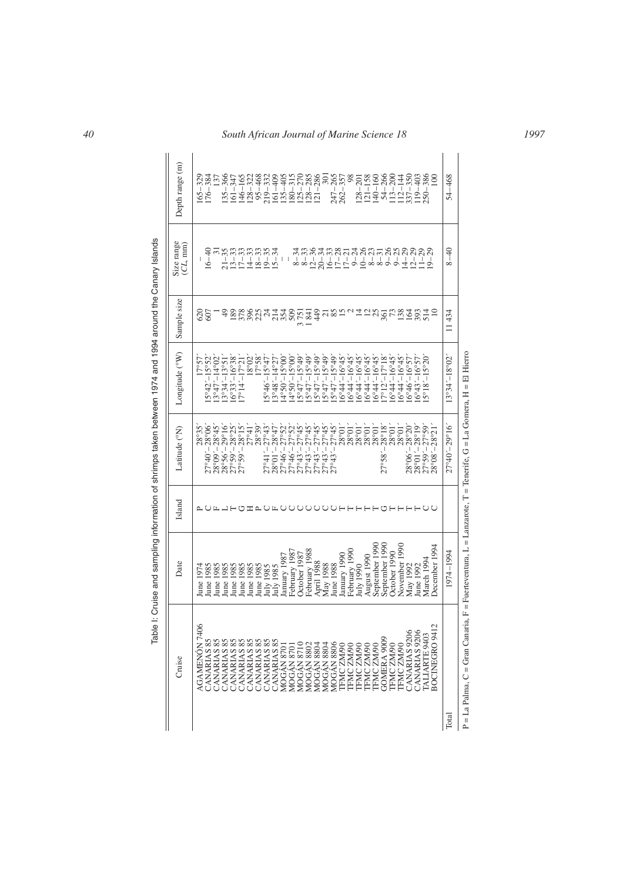| Cruise                          | Date                                                                                   | Island           | Latitude (°N)                                                                                                                  | Longitude (°W)                                   | Sample size     | Size range<br>$CL$ , $mm$ )         | Depth range (m)     |
|---------------------------------|----------------------------------------------------------------------------------------|------------------|--------------------------------------------------------------------------------------------------------------------------------|--------------------------------------------------|-----------------|-------------------------------------|---------------------|
| <b>AGAMENON 7406</b>            | une 1974                                                                               |                  | $28^{\circ}35^{\circ}$                                                                                                         | 17°57                                            | 620             |                                     | $165 - 325$         |
| CANARIAS 85                     | <b>Tune 1985</b>                                                                       |                  | $27^{\circ}40' - 28^{\circ}06'$                                                                                                | $5^{\circ}42^{\prime}-15^{\circ}52$              | 607             | $16 - 40$                           | $176 - 384$         |
| CANARIAS 85                     | lune 1985                                                                              |                  |                                                                                                                                | $3°47' - 14°02$                                  |                 |                                     | 137                 |
| CANARIAS 85                     | Tune 1985                                                                              |                  | $\begin{array}{c} 28^{\circ}09' - 28^{\circ}45' \\ 28^{\circ}56' - 29^{\circ}16' \\ 27^{\circ}59' - 28^{\circ}25' \end{array}$ | $13°34' - 13°51$                                 | $\ddot{ }$      | $31 - 35$<br>$13 - 33$<br>$17 - 33$ | $135 - 366$         |
| ∞ं<br>CANARIAS                  | lune 1985                                                                              |                  |                                                                                                                                | $6°33' - 16°38'$                                 |                 |                                     | $161 - 347$         |
| ័<br>CANARIAS                   | lune 1985                                                                              | コーロ              | $28^{\circ}15'$<br>$27^{\circ}59'$                                                                                             | $[7^{\circ}14^{\prime} - 17^{\circ}21^{\prime}]$ | 189<br>378      |                                     | $146 - 165$         |
| 83<br><b>CANARIAS</b>           | Tune 1985                                                                              |                  | $27^{\circ}41'$                                                                                                                | $18^{\circ}02'$                                  |                 | $14 - 33$                           | $128 - 322$         |
| $\frac{85}{25}$<br>CANARIAS     | June 1985                                                                              |                  | $28^{\circ}39'$                                                                                                                | 17°58'                                           |                 | $18 - 33$                           | $95 - 468$          |
| $\frac{8}{3}$<br>CANARIAS       | July 1985                                                                              | മധ               | $-27^{\circ}43$<br>$27^{\circ}41'$                                                                                             | $5^{\circ}46' - 15^{\circ}47$                    | 883344          | $19 - 35$                           | $219 - 332$         |
| CANARIAS 85                     | July 1985                                                                              |                  | $28^{\circ}01' - 28^{\circ}47'$                                                                                                | $13°48' - 14°27$                                 |                 | $15 - 34$                           | $161 - 409$         |
| MOGÁN 870                       | anuary 1987                                                                            | ЩU               | $27^{\circ}46^{\prime}-27^{\circ}52^{\prime}$                                                                                  | $4^{\circ}50^{\circ}$ -15°00'                    |                 | L                                   | $135 - 405$         |
| MOGÁN 870                       | February 1987                                                                          | ◡                | $27^{\circ}46^{\prime}-27^{\circ}52^{\prime}$                                                                                  | $14^{\circ}50^{\circ} - 15^{\circ}00^{\circ}$    | 509             | $8 - 34$<br>I                       | $180 - 315$         |
| MOGÁN 8710                      | October 1987                                                                           |                  | $27^{\circ}43^{\prime} - 27^{\circ}45^{\prime}$                                                                                | $5^{\circ}47' - 15^{\circ}49'$                   | 751             | $8 - 33$                            | $125 - 270$         |
| MOGAN 880Z                      | February 1988                                                                          |                  | $27^{\circ}43' - 27^{\circ}45'$                                                                                                | $15^{\circ}47' - 15^{\circ}49'$                  | 841             | $12 - 36$                           | $-285$<br>$128 - 7$ |
| MOGÁN 880-                      | April 1988                                                                             |                  | $27^{\circ}43' - 27^{\circ}45'$                                                                                                | $5^{\circ}47' - 15^{\circ}49'$                   | 49              | $20 - 34$                           | 286<br>$121 - 2$    |
| MOGÁN 880                       | May 1988                                                                               |                  | $27^{\circ}45'$<br>$27^{\circ}43 -$                                                                                            | $5^{\circ}47' - 15^{\circ}49'$                   | $\frac{21}{85}$ | $16 - 33$                           | $\overline{301}$    |
| MOGÁN 8806                      | June 1988                                                                              |                  | $27^{\circ}45'$<br>$27^{\circ}43$ '                                                                                            | $5^{\circ}47' - 15^{\circ}49'$                   |                 |                                     | $247 - 265$         |
| TFMC ZM/90                      | January 1990                                                                           |                  | 28°01'                                                                                                                         | $16^{\circ}44^{\prime} - 16^{\circ}45^{\prime}$  |                 | $17 - 28$<br>$17 - 21$              | $262 - 357$         |
| TFMC ZM/90                      | February 1990                                                                          |                  | $28^{\circ}01'$                                                                                                                | $16^{\circ}44' - 16^{\circ}45'$                  |                 |                                     | 98                  |
| TFMC ZM/90                      | July 1990                                                                              |                  | $28^{\circ}01'$                                                                                                                | $16^{\circ}44^{\prime} - 16^{\circ}45^{\prime}$  |                 |                                     | $128 - 201$         |
| TFMC ZM/90                      | August 1990                                                                            |                  | $28^{\circ}01'$                                                                                                                | $16^{\circ}44^{\prime} - 16^{\circ}45^{\prime}$  |                 |                                     | $121 - 158$         |
| TFMC ZM/90                      | September 1990                                                                         |                  | $28^{\circ}01'$                                                                                                                | $6^{\circ}44^{\prime}$ –16°45′                   |                 |                                     | $140 - 160$         |
| GOMERA 9009                     | September 1990                                                                         |                  | $28^{\circ}18'$<br>$27^{\circ}58^{\circ}$                                                                                      | $7^{\circ}12' - 17^{\circ}18'$                   |                 |                                     | $54 - 266$          |
| TFMC ZM/90                      | October 1990                                                                           |                  | $28^{\circ}01'$                                                                                                                | $6^{\circ}44^{\prime} - 16^{\circ}45^{\circ}$    |                 |                                     | $113 - 200$         |
| TFMC ZM/90                      | November 1990                                                                          |                  | $28^{\circ}01'$                                                                                                                | $6^{\circ}44^{\prime} - 16^{\circ}45^{\prime}$   |                 |                                     | $112 - 144$         |
| CANARIAS 9206                   | May 1992                                                                               |                  | $28^{\circ}06^{\prime}-28^{\circ}20^{\prime}$                                                                                  | $6^{\circ}46^{\circ} - 16^{\circ}57$             |                 |                                     | $337 - 350$         |
| CANARIAS 9206                   | une 1992                                                                               |                  | $28^{\circ}01' - 28^{\circ}19'$                                                                                                | $6^{\circ}43' - 16^{\circ}57'$                   |                 |                                     | $19 - 403$          |
| TALIARTE 9403                   | March 1994                                                                             | UUUUUHHHHHUHHHUU | $27^{\circ}59' - 27^{\circ}59'$                                                                                                | $5^{\circ}18' - 15^{\circ}20$                    | <b>AGRESSE</b>  | 29<br>$19 -$                        | $250 - 386$         |
| BOCINEGRO 9412                  | December 1994                                                                          |                  | $28^{\circ}08' - 28^{\circ}21'$                                                                                                |                                                  | $\Xi$           |                                     | $_{\odot}$          |
| Total                           | 1974–1994                                                                              |                  | $27^{\circ}40^{\prime}-29^{\circ}16^{\prime}$                                                                                  | $13°34' - 18°02'$                                | 11434           | $8 - 40$                            | $54 - 468$          |
| P = La Palma. C = Gran Canaria. | $F =$ Fuerteventura, $L =$ Lanzarote, $T =$ Tenerife, $G =$ La Gomera, $H =$ El Hierro |                  |                                                                                                                                |                                                  |                 |                                     |                     |

Table I: Cruise and sampling information of shrimps taken between 1974 and 1994 around the Canary Islands Table I: Cruise and sampling information of shrimps taken between 1974 and 1994 around the Canary Islands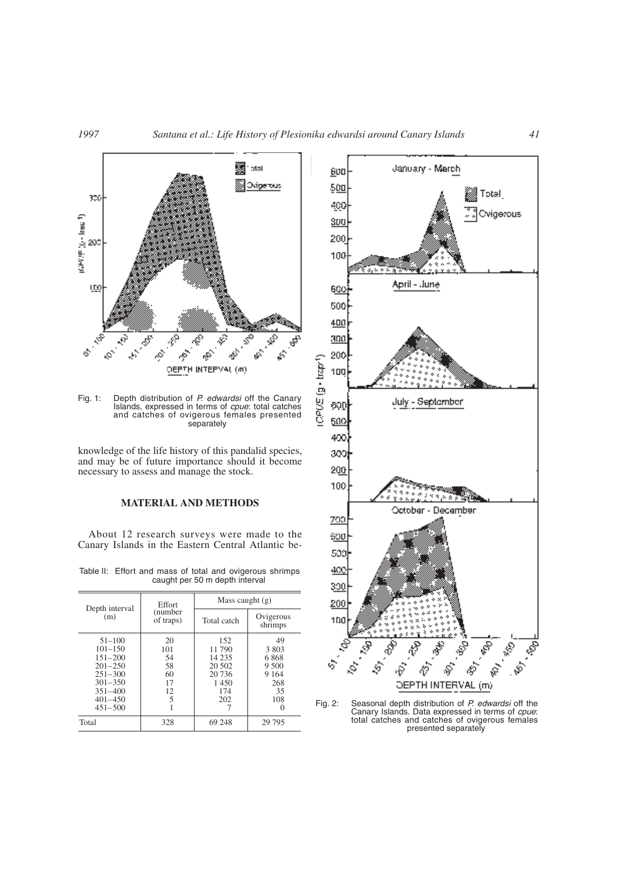

Fig. 1: Depth distribution of *P. edwardsi* off the Canary Islands, expressed in terms of *cpue*: total catches and catches of ovigerous females presented separately

knowledge of the life history of this pandalid species, and may be of future importance should it become necessary to assess and manage the stock.

#### **MATERIAL AND METHODS**

About 12 research surveys were made to the Canary Islands in the Eastern Central Atlantic be-

Table II: Effort and mass of total and ovigerous shrimps caught per 50 m depth interval

| Depth interval                                                                                                                     | <b>Effort</b>                                | Mass caught $(g)$                                                   |                                                             |  |  |
|------------------------------------------------------------------------------------------------------------------------------------|----------------------------------------------|---------------------------------------------------------------------|-------------------------------------------------------------|--|--|
| (m)                                                                                                                                | (number)<br>of traps)                        | Total catch                                                         | Ovigerous<br>shrimps                                        |  |  |
| $51 - 100$<br>$101 - 150$<br>$151 - 200$<br>$201 - 250$<br>$251 - 300$<br>$301 - 350$<br>$351 - 400$<br>$401 - 450$<br>$451 - 500$ | 20<br>101<br>54<br>58<br>60<br>17<br>12<br>5 | 152<br>11 790<br>14 2 3 5<br>20 502<br>20 736<br>1450<br>174<br>202 | 49<br>3 803<br>6868<br>9.500<br>9 1 6 4<br>268<br>35<br>108 |  |  |
| Total                                                                                                                              | 328                                          | 69 248                                                              | 29 7 95                                                     |  |  |



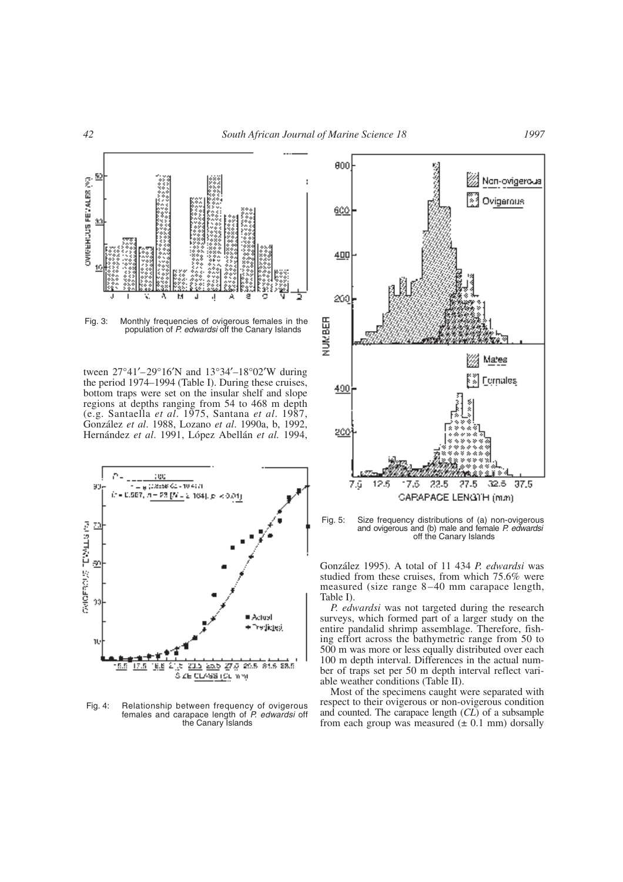

Fig. 3: Monthly frequencies of ovigerous females in the population of *P. edwardsi* off the Canary Islands

tween 27°41′–29°16′N and 13°34′–18°02′W during the period 1974–1994 (Table I). During these cruises, bottom traps were set on the insular shelf and slope regions at depths ranging from 54 to 468 m depth (e.g. Santaella *et al*. 1975, Santana *et al*. 1987, González *et al*. 1988, Lozano *et al*. 1990a, b, 1992, Hernández *et al*. 1991, López Abellán *et al.* 1994,



Fig. 4: Relationship between frequency of ovigerous females and carapace length of *P. edwardsi* off the Canary Islands



Fig. 5: Size frequency distributions of (a) non-ovigerous and ovigerous and (b) male and female *P. edwardsi* off the Canary Islands

González 1995). A total of 11 434 *P. edwardsi* was studied from these cruises, from which 75.6% were measured (size range 8–40 mm carapace length, Table I).

*P. edwardsi* was not targeted during the research surveys, which formed part of a larger study on the entire pandalid shrimp assemblage. Therefore, fishing effort across the bathymetric range from 50 to 500 m was more or less equally distributed over each 100 m depth interval. Differences in the actual number of traps set per 50 m depth interval reflect variable weather conditions (Table II).

Most of the specimens caught were separated with respect to their ovigerous or non-ovigerous condition and counted. The carapace length (*CL*) of a subsample from each group was measured  $(\pm 0.1 \text{ mm})$  dorsally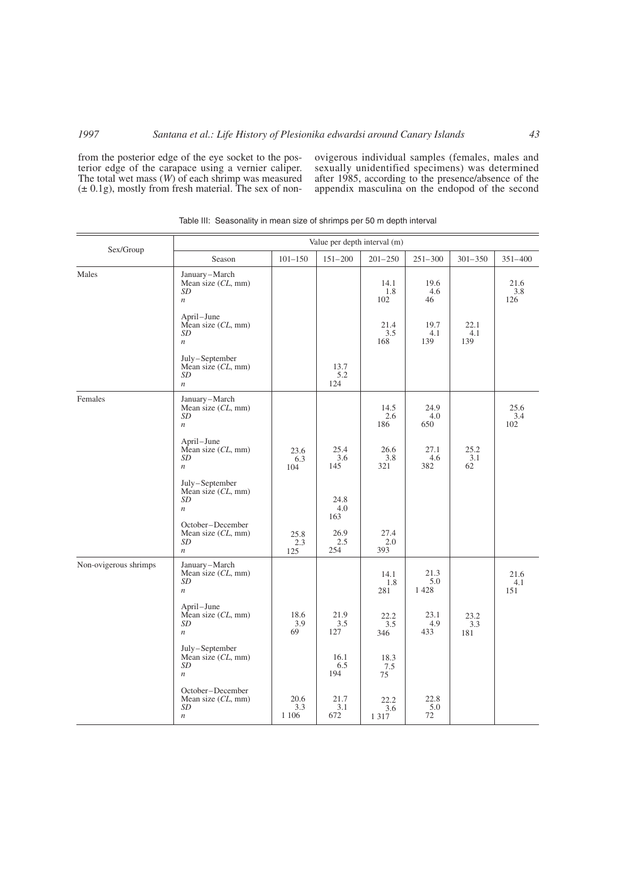from the posterior edge of the eye socket to the posterior edge of the carapace using a vernier caliper. The total wet mass (*W*) of each shrimp was measured  $(\pm 0.1g)$ , mostly from fresh material. The sex of nonovigerous individual samples (females, males and sexually unidentified specimens) was determined after 1985, according to the presence/absence of the appendix masculina on the endopod of the second

| Sex/Group             |                                                                     |                        | Value per depth interval (m) |                        |                     |                    |                    |
|-----------------------|---------------------------------------------------------------------|------------------------|------------------------------|------------------------|---------------------|--------------------|--------------------|
|                       | Season                                                              | $101 - 150$            | $151 - 200$                  | $201 - 250$            | $251 - 300$         | $301 - 350$        | $351 - 400$        |
| Males                 | January-March<br>Mean size (CL, mm)<br>SD<br>$\boldsymbol{n}$       |                        |                              | 14.1<br>1.8<br>102     | 19.6<br>4.6<br>46   |                    | 21.6<br>3.8<br>126 |
|                       | April-June<br>Mean size (CL, mm)<br>SD<br>$\boldsymbol{n}$          |                        |                              | 21.4<br>3.5<br>168     | 19.7<br>4.1<br>139  | 22.1<br>4.1<br>139 |                    |
|                       | July-September<br>Mean size (CL, mm)<br>SD<br>$\,n$                 |                        | 13.7<br>5.2<br>124           |                        |                     |                    |                    |
| Females               | January-March<br>Mean size (CL, mm)<br>SD<br>$\boldsymbol{n}$       |                        |                              | 14.5<br>2.6<br>186     | 24.9<br>4.0<br>650  |                    | 25.6<br>3.4<br>102 |
|                       | April-June<br>Mean size $(CL, \text{mm})$<br>SD<br>$\boldsymbol{n}$ | 23.6<br>6.3<br>104     | 25.4<br>3.6<br>145           | 26.6<br>3.8<br>321     | 27.1<br>4.6<br>382  | 25.2<br>3.1<br>62  |                    |
|                       | July-September<br>Mean size (CL, mm)<br>SD<br>$\boldsymbol{n}$      |                        | 24.8<br>4.0<br>163           |                        |                     |                    |                    |
|                       | October-December<br>Mean size (CL, mm)<br>SD<br>$\boldsymbol{n}$    | 25.8<br>2.3<br>125     | 26.9<br>2.5<br>254           | 27.4<br>2.0<br>393     |                     |                    |                    |
| Non-ovigerous shrimps | January-March<br>Mean size $CL$ , mm)<br>SD<br>$\boldsymbol{n}$     |                        |                              | 14.1<br>1.8<br>281     | 21.3<br>5.0<br>1428 |                    | 21.6<br>4.1<br>151 |
|                       | April-June<br>Mean size (CL, mm)<br>SD<br>$\boldsymbol{n}$          | 18.6<br>3.9<br>69      | 21.9<br>3.5<br>127           | 22.2<br>3.5<br>346     | 23.1<br>4.9<br>433  | 23.2<br>3.3<br>181 |                    |
|                       | July-September<br>Mean size (CL, mm)<br>SD<br>$\boldsymbol{n}$      |                        | 16.1<br>6.5<br>194           | 18.3<br>$7.5\,$<br>75  |                     |                    |                    |
|                       | October-December<br>Mean size $CL$ , mm)<br>SD<br>$\boldsymbol{n}$  | 20.6<br>3.3<br>1 1 0 6 | 21.7<br>3.1<br>672           | 22.2<br>3.6<br>1 3 1 7 | 22.8<br>5.0<br>72   |                    |                    |

Table III: Seasonality in mean size of shrimps per 50 m depth interval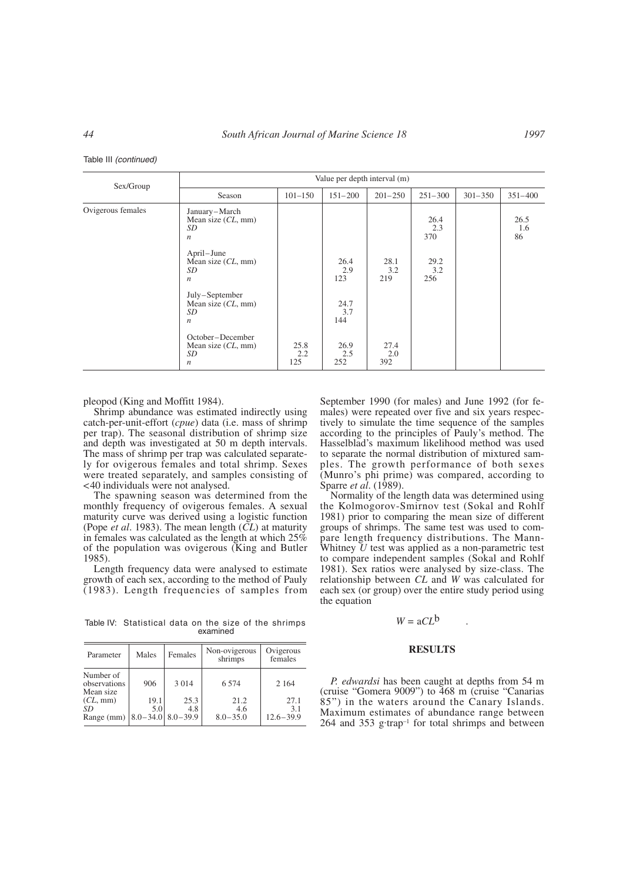Table III *(continued)*

| Sex/Group         |                                                                        |                    |                    | Value per depth interval (m) |                    |             |                   |
|-------------------|------------------------------------------------------------------------|--------------------|--------------------|------------------------------|--------------------|-------------|-------------------|
|                   | Season                                                                 | $101 - 150$        | $151 - 200$        | $201 - 250$                  | $251 - 300$        | $301 - 350$ | $351 - 400$       |
| Ovigerous females | January-March<br>Mean size $(CL, \text{mm})$<br>SD<br>$\boldsymbol{n}$ |                    |                    |                              | 26.4<br>2.3<br>370 |             | 26.5<br>1.6<br>86 |
|                   | April-June<br>Mean size $CL$ , mm)<br>SD<br>$\boldsymbol{n}$           |                    | 26.4<br>2.9<br>123 | 28.1<br>3.2<br>219           | 29.2<br>3.2<br>256 |             |                   |
|                   | July-September<br>Mean size $CL$ , mm)<br>SD<br>$\boldsymbol{n}$       |                    | 24.7<br>3.7<br>144 |                              |                    |             |                   |
|                   | October-December<br>Mean size $CL$ , mm)<br>SD<br>n                    | 25.8<br>2.2<br>125 | 26.9<br>2.5<br>252 | 27.4<br>2.0<br>392           |                    |             |                   |

pleopod (King and Moffitt 1984).

Shrimp abundance was estimated indirectly using catch-per-unit-effort (*cpue*) data (i.e. mass of shrimp per trap). The seasonal distribution of shrimp size and depth was investigated at 50 m depth intervals. The mass of shrimp per trap was calculated separately for ovigerous females and total shrimp. Sexes were treated separately, and samples consisting of <40 individuals were not analysed.

The spawning season was determined from the monthly frequency of ovigerous females. A sexual maturity curve was derived using a logistic function (Pope *et al*. 1983). The mean length (*CL*) at maturity in females was calculated as the length at which  $25\%$ of the population was ovigerous (King and Butler 1985).

Length frequency data were analysed to estimate growth of each sex, according to the method of Pauly (1983). Length frequencies of samples from

Table IV: Statistical data on the size of the shrimps examined

| Parameter                                                     | Males       | Females     | Non-ovigerous<br>shrimps    | Ovigerous<br>females         |
|---------------------------------------------------------------|-------------|-------------|-----------------------------|------------------------------|
| Number of<br>observations<br>Mean size                        | 906         | 3 0 1 4     | 6 5 7 4                     | 2 1 6 4                      |
| $CL, \text{mm}$<br>SD<br>Range (mm) $ 8.0 - 34.0 $ 8.0 - 39.9 | 19.1<br>5.0 | 25.3<br>4.8 | 21.2<br>4.6<br>$8.0 - 35.0$ | 27.1<br>3.1<br>$12.6 - 39.9$ |

September 1990 (for males) and June 1992 (for females) were repeated over five and six years respectively to simulate the time sequence of the samples according to the principles of Pauly's method. The Hasselblad's maximum likelihood method was used to separate the normal distribution of mixtured samples. The growth performance of both sexes (Munro's phi prime) was compared, according to Sparre *et al*. (1989).

Normality of the length data was determined using the Kolmogorov-Smirnov test (Sokal and Rohlf 1981) prior to comparing the mean size of different groups of shrimps. The same test was used to compare length frequency distributions. The Mann-Whitney *U* test was applied as a non-parametric test to compare independent samples (Sokal and Rohlf 1981). Sex ratios were analysed by size-class. The relationship between *CL* and *W* was calculated for each sex (or group) over the entire study period using the equation

# $W = aCL^b$

## **RESULTS**

*P. edwardsi* has been caught at depths from 54 m (cruise "Gomera 9009") to 468 m (cruise "Canarias 85") in the waters around the Canary Islands. Maximum estimates of abundance range between  $264$  and  $353$  g·trap<sup>-1</sup> for total shrimps and between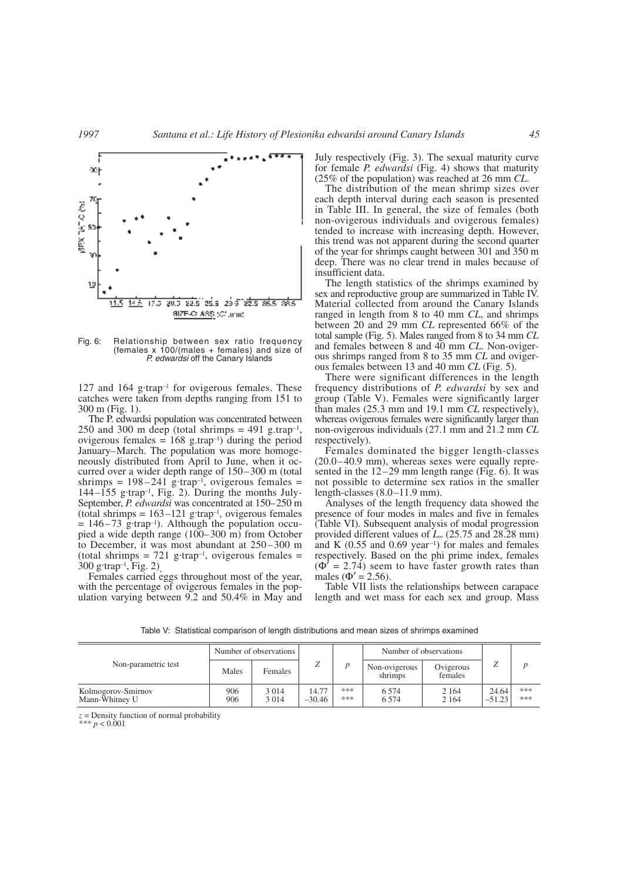

Fig. 6: Relationship between sex ratio frequency (females x 100/(males + females) and size of *P. edwardsi* off the Canary Islands

127 and 164 g·trap<sup>-1</sup> for ovigerous females. These catches were taken from depths ranging from 151 to 300 m (Fig. 1).

The P. edwardsi population was concentrated between 250 and 300 m deep (total shrimps =  $491$  g.trap<sup>-1</sup>, ovigerous females =  $168$  g.trap<sup>-1</sup>) during the period January–March. The population was more homogeneously distributed from April to June, when it occurred over a wider depth range of 150–300 m (total shrimps  $= 198-241$  g·trap<sup>-1</sup>, ovigerous females  $=$  $144-155$  g·trap<sup>-1</sup>, Fig. 2). During the months July-September, *P. edwardsi* was concentrated at 150–250 m (total shrimps  $= 163-121$  g·trap<sup>-1</sup>, ovigerous females  $= 146-73$  g·trap<sup>-1</sup>). Although the population occupied a wide depth range (100–300 m) from October to December, it was most abundant at 250–300 m (total shrimps  $= 721$  g·trap<sup>-1</sup>, ovigerous females  $=$  $300 \text{ g-trap}^{-1}$ , Fig. 2)

Females carried eggs throughout most of the year, with the percentage of ovigerous females in the population varying between 9.2 and 50.4% in May and July respectively (Fig. 3). The sexual maturity curve for female *P. edwardsi* (Fig. 4) shows that maturity (25% of the population) was reached at 26 mm *CL*.

The distribution of the mean shrimp sizes over each depth interval during each season is presented in Table III. In general, the size of females (both non-ovigerous individuals and ovigerous females) tended to increase with increasing depth. However, this trend was not apparent during the second quarter of the year for shrimps caught between 301 and 350 m deep. There was no clear trend in males because of insufficient data.

The length statistics of the shrimps examined by sex and reproductive group are summarized in Table IV. Material collected from around the Canary Islands ranged in length from 8 to 40 mm *CL*, and shrimps between 20 and 29 mm *CL* represented 66% of the total sample (Fig. 5). Males ranged from 8 to 34 mm *CL* and females between 8 and 40 mm *CL*. Non-ovigerous shrimps ranged from 8 to 35 mm *CL* and ovigerous females between 13 and 40 mm *CL* (Fig. 5).

There were significant differences in the length frequency distributions of *P. edwardsi* by sex and group (Table V). Females were significantly larger than males (25.3 mm and 19.1 mm *CL* respectively), whereas ovigerous females were significantly larger than non-ovigerous individuals (27.1 mm and 21.2 mm *CL* respectively).

Females dominated the bigger length-classes (20.0–40.9 mm), whereas sexes were equally represented in the 12–29 mm length range (Fig. 6). It was not possible to determine sex ratios in the smaller length-classes (8.0–11.9 mm).

Analyses of the length frequency data showed the presence of four modes in males and five in females (Table VI). Subsequent analysis of modal progression provided different values of *L*<sup>∞</sup> (25.75 and 28.28 mm) and K  $(0.55 \text{ and } 0.69 \text{ year}^{-1})$  for males and females respectively. Based on the phi prime index, females  $(\Phi^{\dagger} = 2.74)$  seem to have faster growth rates than males ( $\Phi' = 2.56$ ).

Table VII lists the relationships between carapace length and wet mass for each sex and group. Mass

|                                      |            | Number of observations |                   |            |                          | Number of observations |                   |            |
|--------------------------------------|------------|------------------------|-------------------|------------|--------------------------|------------------------|-------------------|------------|
| Non-parametric test                  | Males      | Females                | ∠                 |            | Non-ovigerous<br>shrimps | Ovigerous<br>females   | ৴                 |            |
| Kolmogorov-Smirnov<br>Mann-Whitney U | 906<br>906 | 3 0 1 4<br>3 0 1 4     | 14.77<br>$-30.46$ | ***<br>*** | 6.574<br>6.574           | 2 1 6 4<br>2 1 6 4     | 24.64<br>$-51.23$ | ***<br>*** |

Table V: Statistical comparison of length distributions and mean sizes of shrimps examined

 $z =$ Density function of normal probability

 $* p < 0.001$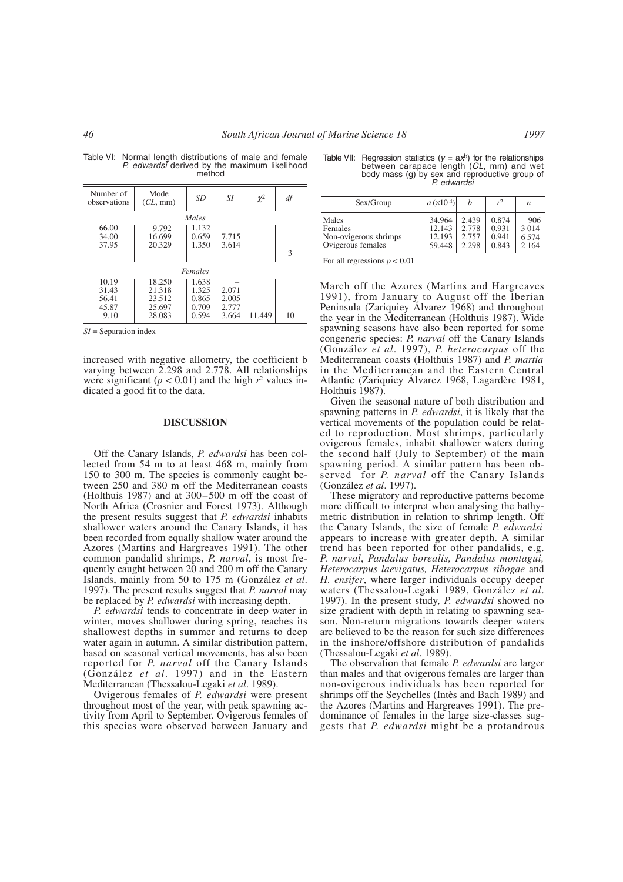| Table VI: Normal length distributions of male and female |
|----------------------------------------------------------|
| P. edwardsi derived by the maximum likelihood            |
| method                                                   |

| Number of<br>observations                | Mode<br>$CL, \text{mm}$                        | SD                                        | SI.                              | $\chi^2$ | df |  |  |
|------------------------------------------|------------------------------------------------|-------------------------------------------|----------------------------------|----------|----|--|--|
|                                          |                                                | Males                                     |                                  |          |    |  |  |
| 66.00<br>34.00<br>37.95                  | 9.792<br>16.699<br>20.329                      | 1.132<br>0.659<br>1.350                   | 7.715<br>3.614                   |          | 3  |  |  |
| Females                                  |                                                |                                           |                                  |          |    |  |  |
| 10.19<br>31.43<br>56.41<br>45.87<br>9.10 | 18.250<br>21.318<br>23.512<br>25.697<br>28.083 | 1.638<br>1.325<br>0.865<br>0.709<br>0.594 | 2.071<br>2.005<br>2.777<br>3.664 | 11.449   | 10 |  |  |

*SI* = Separation index

increased with negative allometry, the coefficient b varying between 2.298 and 2.778. All relationships were significant ( $p < 0.01$ ) and the high  $r^2$  values indicated a good fit to the data.

## **DISCUSSION**

Off the Canary Islands, *P. edwardsi* has been collected from 54 m to at least 468 m, mainly from 150 to 300 m. The species is commonly caught between 250 and 380 m off the Mediterranean coasts (Holthuis 1987) and at 300–500 m off the coast of North Africa (Crosnier and Forest 1973). Although the present results suggest that *P. edwardsi* inhabits shallower waters around the Canary Islands, it has been recorded from equally shallow water around the Azores (Martins and Hargreaves 1991). The other common pandalid shrimps, *P. narval*, is most frequently caught between 20 and 200 m off the Canary Islands, mainly from 50 to 175 m (González *et al*. 1997). The present results suggest that *P. narval* may be replaced by *P. edwardsi* with increasing depth.

*P. edwardsi* tends to concentrate in deep water in winter, moves shallower during spring, reaches its shallowest depths in summer and returns to deep water again in autumn. A similar distribution pattern, based on seasonal vertical movements, has also been reported for *P. narval* off the Canary Islands (González *et al*. 1997) and in the Eastern Mediterranean (Thessalou-Legaki *et al*. 1989).

Ovigerous females of *P. edwardsi* were present throughout most of the year, with peak spawning activity from April to September. Ovigerous females of this species were observed between January and

Table VII: Regression statistics  $(y = ax^b)$  for the relationships between carapace length (*CL*, mm) and wet body mass (g) by sex and reproductive group of *P. edwardsi*

| Sex/Group                                                      | $a(x10^{-4})$                        | h                                | r <sup>2</sup>                   | n                                  |
|----------------------------------------------------------------|--------------------------------------|----------------------------------|----------------------------------|------------------------------------|
| Males<br>Females<br>Non-ovigerous shrimps<br>Ovigerous females | 34.964<br>12.143<br>12.193<br>59.448 | 2.439<br>2.778<br>2.757<br>2.298 | 0.874<br>0.931<br>0.941<br>0.843 | 906<br>3 0 1 4<br>6.574<br>2 1 6 4 |

For all regressions  $p < 0.01$ 

March off the Azores (Martins and Hargreaves 1991), from January to August off the Iberian Peninsula (Zariquiey Álvarez 1968) and throughout the year in the Mediterranean (Holthuis 1987). Wide spawning seasons have also been reported for some congeneric species: *P. narval* off the Canary Islands (González *et al*. 1997), *P. heterocarpus* off the Mediterranean coasts (Holthuis 1987) and *P. martia* in the Mediterranean and the Eastern Central Atlantic (Zariquiey Álvarez 1968, Lagardère 1981, Holthuis 1987).

Given the seasonal nature of both distribution and spawning patterns in *P. edwardsi*, it is likely that the vertical movements of the population could be related to reproduction. Most shrimps, particularly ovigerous females, inhabit shallower waters during the second half (July to September) of the main spawning period. A similar pattern has been observed for *P. narval* off the Canary Islands (González *et al*. 1997).

These migratory and reproductive patterns become more difficult to interpret when analysing the bathymetric distribution in relation to shrimp length. Off the Canary Islands, the size of female *P. edwardsi* appears to increase with greater depth. A similar trend has been reported for other pandalids, e.g. *P. narval*, *Pandalus borealis, Pandalus montagui, Heterocarpus laevigatus, Heterocarpus sibogae* and *H. ensifer*, where larger individuals occupy deeper waters (Thessalou-Legaki 1989, González *et al*. 1997). In the present study, *P. edwardsi* showed no size gradient with depth in relating to spawning season. Non-return migrations towards deeper waters are believed to be the reason for such size differences in the inshore/offshore distribution of pandalids (Thessalou-Legaki *et al*. 1989).

The observation that female *P. edwardsi* are larger than males and that ovigerous females are larger than non-ovigerous individuals has been reported for shrimps off the Seychelles (Intès and Bach 1989) and the Azores (Martins and Hargreaves 1991). The predominance of females in the large size-classes suggests that *P. edwardsi* might be a protandrous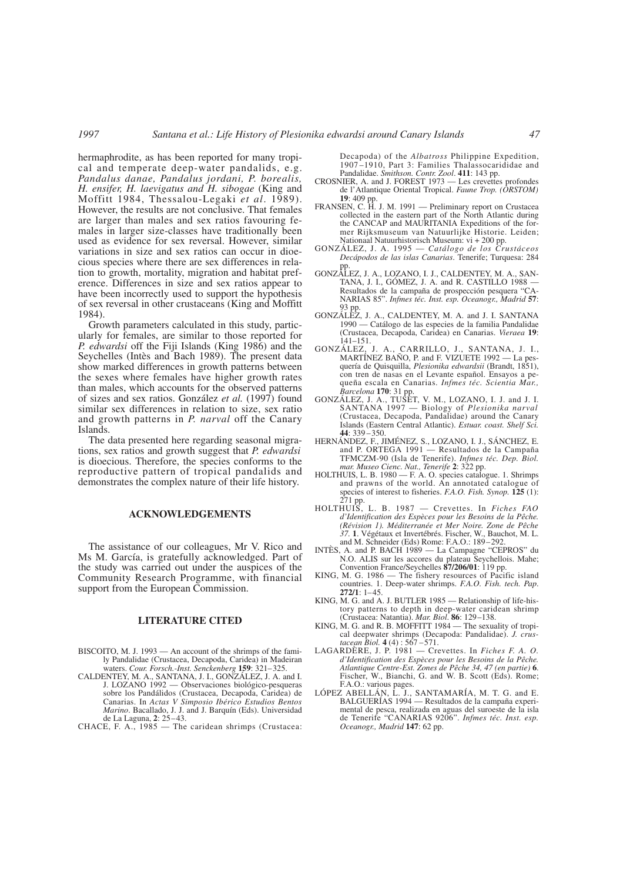hermaphrodite, as has been reported for many tropical and temperate deep-water pandalids, e.g. *Pandalus danae, Pandalus jordani, P. borealis, H. ensifer, H. laevigatus and H. sibogae* (King and Moffitt 1984, Thessalou-Legaki *et al*. 1989). However, the results are not conclusive. That females are larger than males and sex ratios favouring females in larger size-classes have traditionally been used as evidence for sex reversal. However, similar variations in size and sex ratios can occur in dioecious species where there are sex differences in relation to growth, mortality, migration and habitat preference. Differences in size and sex ratios appear to have been incorrectly used to support the hypothesis of sex reversal in other crustaceans (King and Moffitt 1984).

Growth parameters calculated in this study, particularly for females, are similar to those reported for *P. edwardsi* off the Fiji Islands (King 1986) and the Seychelles (Intès and Bach 1989). The present data show marked differences in growth patterns between the sexes where females have higher growth rates than males, which accounts for the observed patterns of sizes and sex ratios. González *et al.* (1997) found similar sex differences in relation to size, sex ratio and growth patterns in *P. narval* off the Canary Islands.

The data presented here regarding seasonal migrations, sex ratios and growth suggest that *P. edwardsi* is dioecious. Therefore, the species conforms to the reproductive pattern of tropical pandalids and demonstrates the complex nature of their life history.

### **ACKNOWLEDGEMENTS**

The assistance of our colleagues, Mr V. Rico and Ms M. García, is gratefully acknowledged. Part of the study was carried out under the auspices of the Community Research Programme, with financial support from the European Commission.

#### **LITERATURE CITED**

- BISCOITO, M. J. 1993 An account of the shrimps of the family Pandalidae (Crustacea, Decapoda, Caridea) in Madeiran waters. *Cour. Forsch.-Inst. Senckenberg* **159**: 321–325.
- CALDENTEY, M. A., SANTANA, J. I., GONZÁLEZ, J. A. and I. J. LOZANO 1992 — Observaciones biológico-pesqueras sobre los Pandálidos (Crustacea, Decapoda, Caridea) de Canarias. In *Actas V Simposio Ibérico Estudios Bentos Marino*. Bacallado, J. J. and J. Barquín (Eds). Universidad de La Laguna, **2**: 25–43.
- CHACE, F. A., 1985 The caridean shrimps (Crustacea:

Decapoda) of the *Albatross* Philippine Expedition, 1907–1910, Part 3: Families Thalassocarididae and Pandalidae. *Smithson. Contr. Zool*. **411**: 143 pp.

- CROSNIER, A. and J. FOREST 1973 Les crevettes profondes de l'Atlantique Oriental Tropical. *Faune Trop. (ORSTOM)* **19**: 409 pp.
- FRANSEN, C. H. J. M. 1991 Preliminary report on Crustacea collected in the eastern part of the North Atlantic during the CANCAP and MAURITANIA Expeditions of the former Rijksmuseum van Natuurlijke Historie. Leiden;
- Nationaal Natuurhistorisch Museum: vi + 200 pp. GONZÁLEZ, J. A. 1995 *Catálogo de los Crustáceos Decápodos de las islas Canarias*. Tenerife; Turquesa: 284 pp.
- GONZÁLEZ, J. A., LOZANO, I. J., CALDENTEY, M. A., SAN-TANA, J. I., GÓMEZ, J. A. and R. CASTILLO 1988 — Resultados de la campaña de prospección pesquera "CA-NARIAS 85". *Infmes téc. Inst. esp. Oceanogr., Madrid* **57**: 93 pp.
- GONZÁLEZ, J. A., CALDENTEY, M. A. and J. I. SANTANA 1990 — Catálogo de las especies de la familia Pandalidae (Crustacea, Decapoda, Caridea) en Canarias. *Vieraea* **19**:  $141 - 151$ .
- GONZÁLEZ, J. A., CARRILLO, J., SANTANA, J. I., MARTÍNEZ BAÑO, P. and F. VIZUETE 1992 — La pesquería de Quisquilla, *Plesionika edwardsii* (Brandt, 1851), con tren de nasas en el Levante español. Ensayos a pequeña escala en Canarias. *Infmes téc. Scientia Mar., Barcelona* **170**: 31 pp.
- GONZÁLEZ, J. A., TUSET, V. M., LOZANO, I. J. and J. I. SANTANA 1997 Biology of *Plesionika narval* (Crustacea, Decapoda, Pandalidae) around the Canary Islands (Eastern Central Atlantic). *Estuar. coast. Shelf Sci.*  $44 \cdot 339 - 350$
- HERNÁNDEZ, F., JIMÉNEZ, S., LOZANO, I. J., SÁNCHEZ, E. and P. ORTEGA 1991 — Resultados de la Campaña TFMCZM-90 (Isla de Tenerife). *Infmes téc. Dep. Biol. mar. Museo Cienc. Nat., Tenerife* **2**: 322 pp.
- HOLTHUIS, L. B. 1980 F. A. O. species catalogue. 1. Shrimps and prawns of the world. An annotated catalogue of species of interest to fisheries. *F.A.O. Fish. Synop.* **125** (1): 271 pp.
- HOLTHUIS, L. B. 1987 Crevettes. In *Fiches FAO d'Identification des Espèces pour les Besoins de la Pêche. (Révision 1). Méditerranée et Mer Noire. Zone de Pêche 37.* **1**. Végétaux et Invertébrés. Fischer, W., Bauchot, M. L. and M. Schneider (Eds) Rome: F.A.O.: 189–292.
- INTÈS, A. and P. BACH 1989 La Campagne "CEPROS" du N.O. ALIS sur les accores du plateau Seychellois. Mahe; Convention France/Seychelles **87/206/01**: 119 pp.
- KING, M. G. 1986 The fishery resources of Pacific island countries. 1. Deep-water shrimps. *F.A.O. Fish. tech. Pap*. **272/1**: 1–45.
- KING, M. G. and A. J. BUTLER 1985 Relationship of life-history patterns to depth in deep-water caridean shrimp (Crustacea: Natantia). *Mar. Biol*. **86**: 129–138.
- KING, M. G. and R. B. MOFFITT 1984 The sexuality of tropical deepwater shrimps (Decapoda: Pandalidae). *J. crustacean Biol.* **4** (4) : 567 –571.
- LAGARDÈRE, J. P. 1981 Crevettes. In *Fiches F. A. O. d'Identification des Espèces pour les Besoins de la Pêche. Atlantique Centre-Est. Zones de Pêche 34, 47 (en partie)* **6**. Fischer, W., Bianchi, G. and W. B. Scott (Eds). Rome; F.A.O.: various pages.
- LÓPEZ ABELLÁN, L. J., SANTAMARÍA, M. T. G. and E. BALGUERÍAS 1994 — Resultados de la campaña experimental de pesca, realizada en aguas del suroeste de la isla de Tenerife "CANARIAS 9206". *Infmes téc. Inst. esp. Oceanogr., Madrid* **147**: 62 pp.